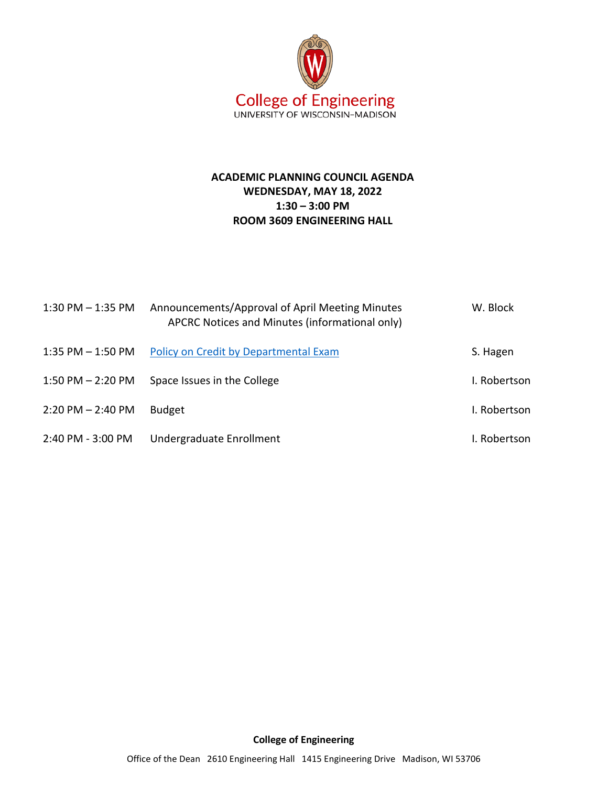

## **ACADEMIC PLANNING COUNCIL AGENDA WEDNESDAY, MAY 18, 2022 1:30 – 3:00 PM ROOM 3609 ENGINEERING HALL**

| $1:30$ PM $-1:35$ PM  | Announcements/Approval of April Meeting Minutes<br>APCRC Notices and Minutes (informational only) | W. Block     |
|-----------------------|---------------------------------------------------------------------------------------------------|--------------|
| $1:35$ PM $-1:50$ PM  | Policy on Credit by Departmental Exam                                                             | S. Hagen     |
| $1:50$ PM $- 2:20$ PM | Space Issues in the College                                                                       | I. Robertson |
| $2:20$ PM $- 2:40$ PM | <b>Budget</b>                                                                                     | I. Robertson |
| 2:40 PM - 3:00 PM     | Undergraduate Enrollment                                                                          | I. Robertson |

## **College of Engineering**

Office of the Dean 2610 Engineering Hall 1415 Engineering Drive Madison, WI 53706